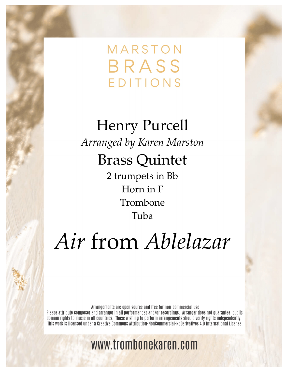MARSTON **BRASS** EDITIONS

## Henry Purcell

*Arranged by Karen Marston*

### Brass Quintet

2 trumpets in Bb Horn in F Trombone Tuba

# *Air* from *Ablelazar*

Arrangements are open source and free for non-commercial use

Please attribute composer and arranger in all performances and/or recordings. Arranger does not guarantee public domain rights to music in all countries. Those wishing to perform arrangements should verify rights independently. This work is licensed under a Creative Commons Attribution-NonCommercial-NoDerivatives 4.0 International License.

www.trombonekaren.com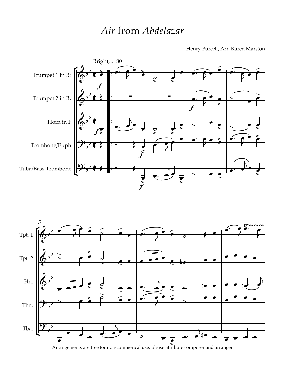

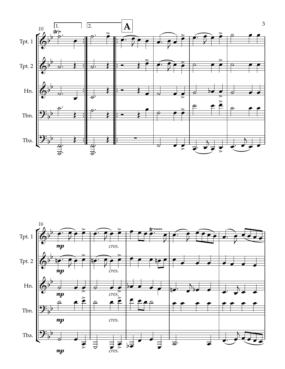

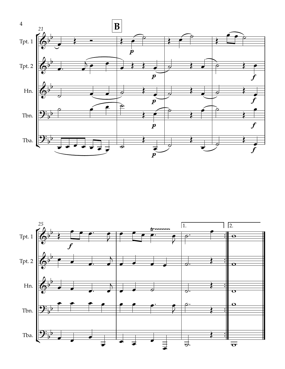

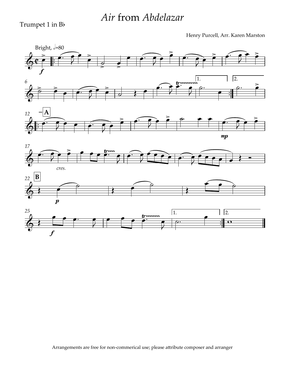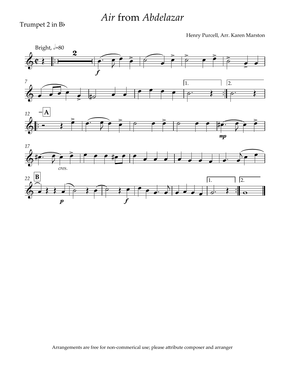Trumpet 2 in Bb

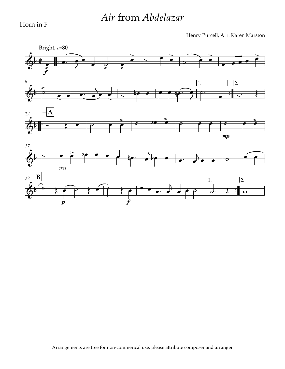Horn in F

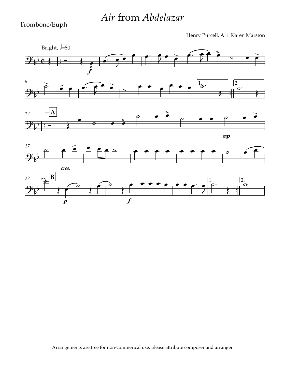Trombone/Euph